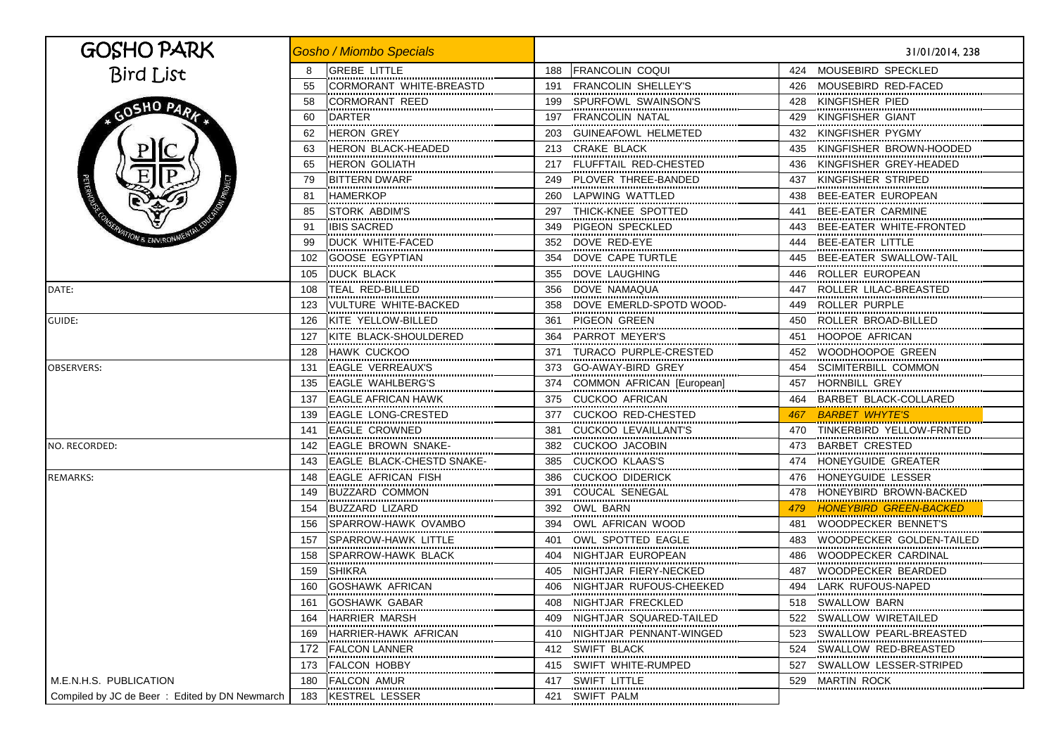| GOSHO PARK                                     | <b>Gosho / Miombo Specials</b>          |                                   | 31/01/2014, 238                                                          |
|------------------------------------------------|-----------------------------------------|-----------------------------------|--------------------------------------------------------------------------|
| <b>Bird List</b>                               | <b>GREBE LITTLE</b><br>8                | 188 FRANCOLIN COQUI               | MOUSEBIRD SPECKLED<br>424                                                |
|                                                | 55<br>CORMORANT WHITE-BREASTD           | <b>FRANCOLIN SHELLEY'S</b><br>191 | MOUSEBIRD RED-FACED<br>426                                               |
|                                                | CORMORANT REED<br>58                    | SPURFOWL SWAINSON'S<br>199        | KINGFISHER PIED<br>428                                                   |
| GOSHO PARK<br>ON & ENVIRON                     | 60<br>DARTER                            | 197<br>FRANCOLIN NATAL            | KINGFISHER GIANT<br>429                                                  |
|                                                | <br><b>HERON GREY</b><br>62             | 203<br><b>GUINEAFOWL HELMETED</b> | KINGFISHER PYGMY<br>432                                                  |
|                                                | <br>HERON BLACK-HEADED<br>63            | 213<br>CRAKE BLACK                | KINGFISHER BROWN-HOODED<br>435                                           |
|                                                | <b>HERON GOLIATH</b><br>65              | FLUFFTAIL RED-CHESTED<br>217      | KINGFISHER GREY-HEADED<br>436                                            |
|                                                | <b>BITTERN DWARF</b><br>79              | PLOVER THREE-BANDED<br>249        | KINGFISHER STRIPED<br>437                                                |
|                                                | <b>HAMERKOP</b><br>81                   | 260 LAPWING WATTLED               | BEE-EATER EUROPEAN<br>438                                                |
|                                                | STORK ABDIM'S<br>85                     | THICK-KNEE SPOTTED<br>297         | <b>BEE-EATER CARMINE</b><br>441                                          |
|                                                | <br><b>IBIS SACRED</b><br>91            | PIGEON SPECKLED<br>349            | ,,,,,,,,,,,,,,,,,,,,,,,,,,,,,,,,,,,,,,<br>BEE-EATER WHITE-FRONTED<br>443 |
|                                                | <br>DUCK WHITE-FACED<br>99<br>          | <br>DOVE RED-EYE<br>352<br>       | <b>BEE-EATER LITTLE</b><br>444<br>                                       |
|                                                | <b>GOOSE EGYPTIAN</b><br>102<br>        | DOVE CAPE TURTLE<br>354<br>       | BEE-EATER SWALLOW-TAIL<br>445                                            |
|                                                | 105<br><b>DUCK BLACK</b>                | 355<br>DOVE LAUGHING              | ROLLER EUROPEAN<br>446                                                   |
| DATE:                                          | <br>TEAL RED-BILLED<br>108<br>          | <br>356<br>DOVE NAMAQUA           | ROLLER LILAC-BREASTED<br>447                                             |
|                                                | VULTURE WHITE-BACKED<br>123             | 358<br>DOVE EMERLD-SPOTD WOOD-    | ROLLER PURPLE<br>449                                                     |
| GUIDE:                                         | KITE YELLOW-BILLED<br>126               | 361<br>PIGEON GREEN               | ROLLER BROAD-BILLED<br>450                                               |
|                                                | KITE BLACK-SHOULDERED<br>127            | PARROT MEYER'S<br>364             | HOOPOE AFRICAN<br>451                                                    |
|                                                | <b>HAWK CUCKOO</b><br>128               | TURACO PURPLE-CRESTED<br>371      | WOODHOOPOE GREEN<br>452                                                  |
| <b>OBSERVERS:</b>                              | <b>EAGLE VERREAUX'S</b><br>131<br>      | GO-AWAY-BIRD GREY<br>373          | SCIMITERBILL COMMON<br>454                                               |
|                                                | <b>EAGLE WAHLBERG'S</b><br>135          | COMMON AFRICAN [European]<br>374  | HORNBILL GREY<br>457                                                     |
|                                                | <b>EAGLE AFRICAN HAWK</b><br>137        | <b>CUCKOO AFRICAN</b><br>375      | BARBET BLACK-COLLARED<br>464                                             |
|                                                | EAGLE LONG-CRESTED<br>139               | <b>CUCKOO RED-CHESTED</b><br>377  | <u>BARBET WHYTE'S</u><br>467                                             |
|                                                | <b>EAGLE CROWNED</b><br>141             | <b>CUCKOO LEVAILLANT'S</b><br>381 | TINKERBIRD YELLOW-FRNTED<br>470                                          |
| NO. RECORDED:                                  | <b>EAGLE BROWN SNAKE-</b><br>142        | <b>CUCKOO JACOBIN</b><br>382<br>  | <b>BARBET CRESTED</b><br>473                                             |
|                                                | <b>EAGLE BLACK-CHESTD SNAKE-</b><br>143 | <b>CUCKOO KLAAS'S</b><br>385<br>  | HONEYGUIDE GREATER<br>474<br>                                            |
| <b>REMARKS:</b>                                | <b>EAGLE AFRICAN FISH</b><br>148        | 386<br><b>CUCKOO DIDERICK</b><br> | HONEYGUIDE LESSER<br>476                                                 |
|                                                | 149<br><b>BUZZARD COMMON</b>            | 391<br>COUCAL SENEGAL<br>         | HONEYBIRD BROWN-BACKED<br>478                                            |
|                                                | BUZZARD LIZARD<br>154                   | 392<br>OWL BARN                   | <b>HONEYBIRD GREEN-BACKED</b><br>479                                     |
|                                                | <b>SPARROW-HAWK OVAMBO</b><br>156       | OWL AFRICAN WOOD<br>394           | WOODPECKER BENNET'S<br>481                                               |
|                                                | SPARROW-HAWK LITTLE<br>157              | 401<br>OWL SPOTTED EAGLE          | WOODPECKER GOLDEN-TAILED<br>483                                          |
|                                                | SPARROW-HAWK BLACK<br>158               | 404 NIGHTJAR EUROPEAN             | WOODPECKER CARDINAL<br>486                                               |
|                                                | <b>SHIKRA</b><br>159                    | NIGHTJAR FIERY-NECKED<br>405      | WOODPECKER BEARDED<br>487                                                |
|                                                | <b>GOSHAWK AFRICAN</b><br>160           | 406 NIGHTJAR RUFOUS-CHEEKED       | LARK RUFOUS-NAPED<br>494                                                 |
|                                                | GOSHAWK GABAR<br>161                    | NIGHTJAR FRECKLED<br>408          | SWALLOW BARN<br>518                                                      |
|                                                | HARRIER MARSH<br>164<br>                | 409<br>NIGHTJAR SQUARED-TAILED    | SWALLOW WIRETAILED<br>522                                                |
|                                                | HARRIER-HAWK AFRICAN<br>169<br>         | 410<br>NIGHTJAR PENNANT-WINGED    | SWALLOW PEARL-BREASTED<br>523                                            |
|                                                | 172<br><b>FALCON LANNER</b>             | SWIFT BLACK<br>412                | SWALLOW RED-BREASTED<br>524                                              |
|                                                | <b>FALCON HOBBY</b><br>173<br>          | SWIFT WHITE-RUMPED<br>415<br>     | SWALLOW LESSER-STRIPED<br>527                                            |
| M.E.N.H.S. PUBLICATION                         | 180<br><b>FALCON AMUR</b><br>           | SWIFT LITTLE<br>417<br>           | 529<br>MARTIN ROCK<br>                                                   |
| Compiled by JC de Beer : Edited by DN Newmarch | <b>KESTREL LESSER</b><br>183            | 421 SWIFT PALM                    |                                                                          |